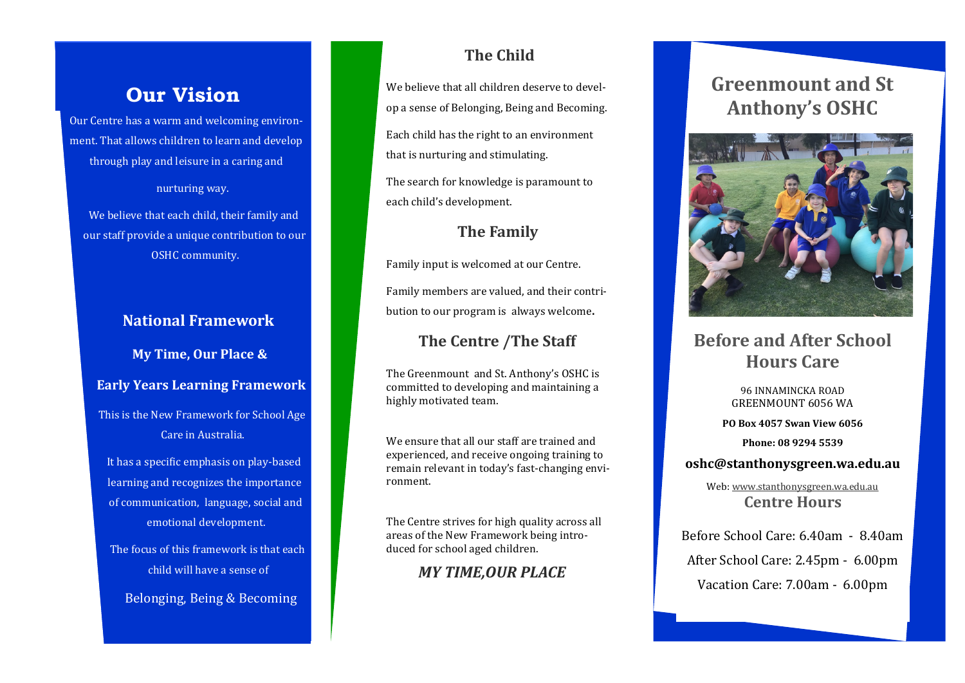Our Centre has a warm and welcoming environment. That allows children to learn and develop through play and leisure in a caring and

nurturing way.

We believe that each child, their family and our staff provide a unique contribution to our OSHC community.

# **National Framework**

**My Time, Our Place &**

## **Early Years Learning Framework**

This is the New Framework for School Age Care in Australia.

It has a specific emphasis on play-based learning and recognizes the importance of communication, language, social and emotional development.

The focus of this framework is that each child will have a sense of

Belonging, Being & Becoming

# **The Child**

**Our Vision Greenmount and St Greenmount and St** We believe that all children deserve to develop a sense of Belonging, Being and Becoming. Each child has the right to an environment that is nurturing and stimulating.

> The search for knowledge is paramount to each child's development.

# **The Family**

Family input is welcomed at our Centre. Family members are valued, and their contribution to our program is always welcome**.**

# **The Centre /The Staff**

The Greenmount and St. Anthony's OSHC is committed to developing and maintaining a highly motivated team.

We ensure that all our staff are trained and experienced, and receive ongoing training to remain relevant in today's fast-changing environment.

The Centre strives for high quality across all areas of the New Framework being introduced for school aged children.

 *MY TIME,OUR PLACE all our* 

# **Anthony's OSHC**



# **Before and After School Hours Care**

96 INNAMINCKA ROAD GREENMOUNT 6056 WA **PO Box 4057 Swan View 6056**

**Phone: 08 9294 5539** 

## **oshc@stanthonysgreen.wa.edu.au**

Web: [www.stanthonysgreen.wa.edu.au](http://www.stanthonysgreen.wa.edu.au) **Centre Hours**

Before School Care: 6.40am - 8.40am After School Care: 2.45pm - 6.00pm Vacation Care: 7.00am - 6.00pm